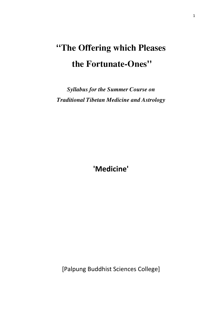# **''The Offering which Pleases the Fortunate-Ones''**

*Syllabus for the Summer Course on Traditional Tibetan Medicine and Astrology*

**'Medicine'**

[Palpung Buddhist Sciences College]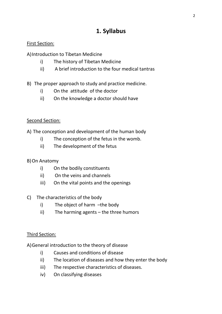## **1. Syllabus**

#### First Section:

A)Introduction to Tibetan Medicine

- i) The history of Tibetan Medicine
- ii) A brief introduction to the four medical tantras

## B) The proper approach to study and practice medicine.

- i) On the attitude of the doctor
- ii) On the knowledge a doctor should have

## Second Section:

A) The conception and development of the human body

- i) The conception of the fetus in the womb.
- ii) The development of the fetus

## B)On Anatomy

- i) On the bodily constituents
- ii) On the veins and channels
- iii) On the vital points and the openings

## C) The characteristics of the body

- i) The object of harm –the body
- ii) The harming agents the three humors

## Third Section:

A)General introduction to the theory of disease

- i) Causes and conditions of disease
- ii) The location of diseases and how they enter the body
- iii) The respective characteristics of diseases.
- iv) On classifying diseases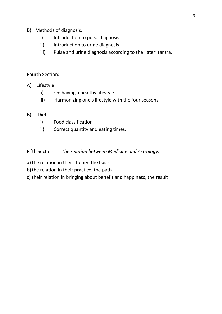- B) Methods of diagnosis.
	- i) Introduction to pulse diagnosis.
	- ii) Introduction to urine diagnosis
	- iii) Pulse and urine diagnosis according to the 'later' tantra.

#### Fourth Section:

- A) Lifestyle
	- i) On having a healthy lifestyle
	- ii) Harmonizing one's lifestyle with the four seasons

#### B) Diet

- i) Food classification
- ii) Correct quantity and eating times.

Fifth Section: *The relation between Medicine and Astrology.*

- a) the relation in their theory, the basis
- b) the relation in their practice, the path
- c) their relation in bringing about benefit and happiness, the result